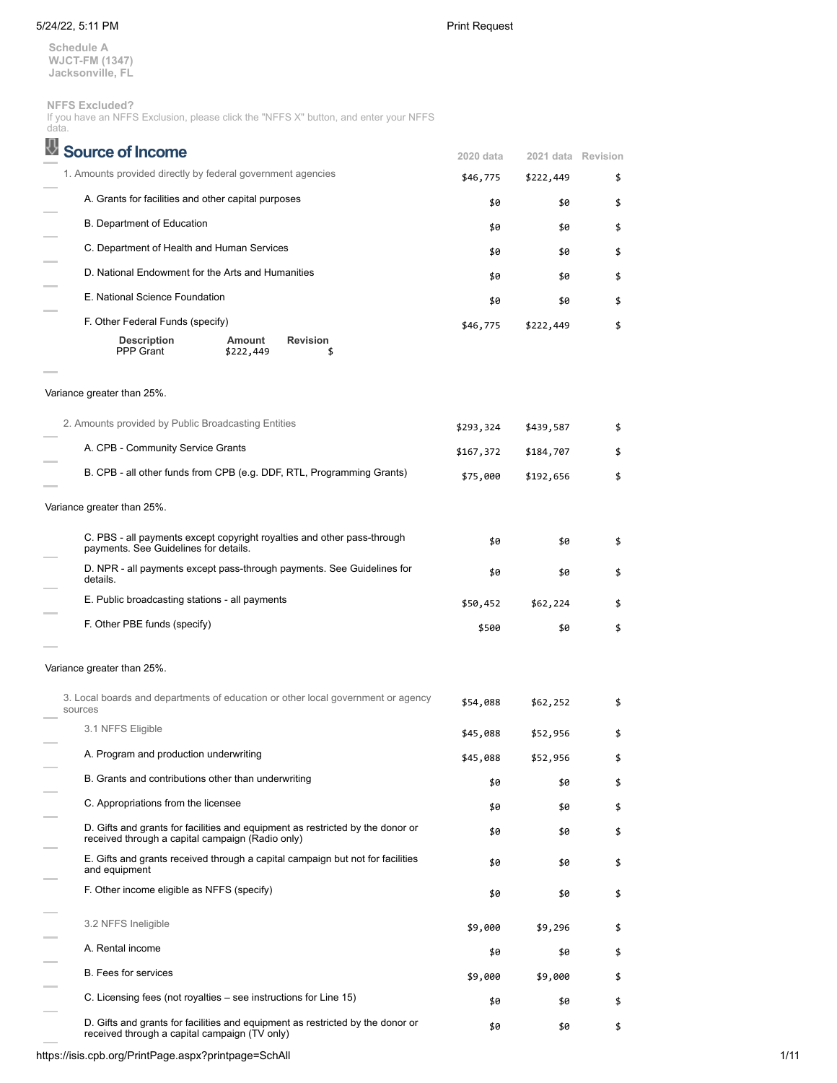**Schedule A WJCT-FM (1347) Jacksonville, FL**

**NFFS Excluded?**

If you have an NFFS Exclusion, please click the "NFFS X" button, and enter your NFFS

| data.                                                                                                                              |           |                    |    |
|------------------------------------------------------------------------------------------------------------------------------------|-----------|--------------------|----|
| ⇩<br><b>Source of Income</b>                                                                                                       | 2020 data | 2021 data Revision |    |
| 1. Amounts provided directly by federal government agencies                                                                        | \$46,775  | \$222,449          | \$ |
| A. Grants for facilities and other capital purposes                                                                                | \$0       | \$0                | \$ |
| B. Department of Education                                                                                                         | \$0       | \$0                | \$ |
| C. Department of Health and Human Services                                                                                         | \$0       | \$0                | \$ |
| D. National Endowment for the Arts and Humanities                                                                                  | \$0       | \$0                | \$ |
| E. National Science Foundation                                                                                                     | \$0       | \$0                | \$ |
| F. Other Federal Funds (specify)                                                                                                   | \$46,775  | \$222,449          | \$ |
| <b>Description</b><br>Amount<br>Revision<br><b>PPP Grant</b><br>\$222,449<br>\$                                                    |           |                    |    |
| Variance greater than 25%.                                                                                                         |           |                    |    |
| 2. Amounts provided by Public Broadcasting Entities                                                                                | \$293,324 | \$439,587          | \$ |
| A. CPB - Community Service Grants                                                                                                  | \$167,372 | \$184,707          | \$ |
| B. CPB - all other funds from CPB (e.g. DDF, RTL, Programming Grants)                                                              | \$75,000  | \$192,656          | \$ |
| Variance greater than 25%.                                                                                                         |           |                    |    |
| C. PBS - all payments except copyright royalties and other pass-through<br>payments. See Guidelines for details.                   | \$0       | \$0                | \$ |
| D. NPR - all payments except pass-through payments. See Guidelines for<br>details.                                                 | \$0       | \$0                | \$ |
| E. Public broadcasting stations - all payments                                                                                     | \$50,452  | \$62,224           | \$ |
| F. Other PBE funds (specify)                                                                                                       | \$500     | \$0                | \$ |
| Variance greater than 25%.                                                                                                         |           |                    |    |
| 3. Local boards and departments of education or other local government or agency<br>sources                                        | \$54,088  | \$62,252           | \$ |
| 3.1 NFFS Eligible                                                                                                                  | \$45,088  | \$52,956           | \$ |
| A. Program and production underwriting                                                                                             | \$45,088  | \$52,956           | \$ |
| B. Grants and contributions other than underwriting                                                                                | \$0       | \$0                | \$ |
| C. Appropriations from the licensee                                                                                                | \$0       | \$0                | \$ |
| D. Gifts and grants for facilities and equipment as restricted by the donor or<br>received through a capital campaign (Radio only) | \$0       | \$0                | \$ |
| E. Gifts and grants received through a capital campaign but not for facilities<br>and equipment                                    | \$0       | \$0                | \$ |
| F. Other income eligible as NFFS (specify)                                                                                         | \$0       | \$0                | \$ |
| 3.2 NFFS Ineligible                                                                                                                | \$9,000   | \$9,296            | \$ |
| A. Rental income                                                                                                                   | \$0       | \$0                | \$ |
| B. Fees for services                                                                                                               | \$9,000   | \$9,000            | \$ |
| C. Licensing fees (not royalties – see instructions for Line 15)                                                                   | \$0       | \$0                | \$ |
| D. Gifts and grants for facilities and equipment as restricted by the donor or<br>received through a capital campaign (TV only)    | \$0       | \$0                | \$ |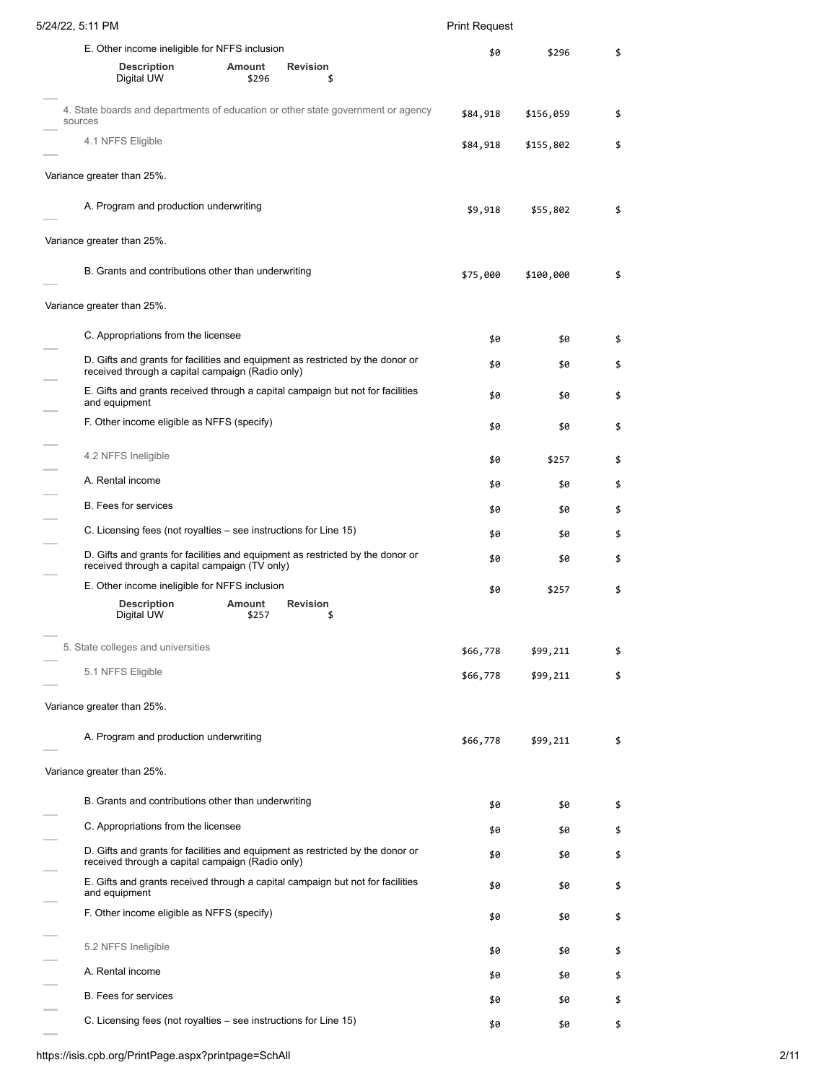# 5/24/22, 5:11 PM Print Request E. Other income ineligible for NFFS inclusion **Description Amount Revision** Digital UW  $$296$  \$ \$0 \$296 \$ 4. State boards and departments of education or other state government or agency sources \$84,918 \$156,059 \$ 4.1 NFFS Eligible \$84,918 \$155,802 \$ Variance greater than 25%. A. Program and production underwriting  $$55,802$  \$ Variance greater than 25%. B. Grants and contributions other than underwriting  $$35,000$  \$100,000 \$100,000 \$100 Variance greater than 25%. C. Appropriations from the licensee  $\qquad \qquad$  \$0 \$ D. Gifts and grants for facilities and equipment as restricted by the donor or D. Gifts and grants for facilities and equipment as restricted by the donor or  $$6\,$   $$9\,$   $$9\,$   $$9\,$   $$9\,$   $$9\,$   $$9\,$   $$2\,$ E. Gifts and grants received through a capital campaign but not for facilities and equipment \$0 \$0 \$ F. Other income eligible as NFFS (specify)  $\qquad \qquad$  \$0 \$ 4.2 NFFS Ineligible  $\overline{3}$   $\overline{4}$   $\overline{2}$   $\overline{3}$   $\overline{4}$   $\overline{2}$   $\overline{3}$   $\overline{4}$   $\overline{3}$   $\overline{2}$   $\overline{4}$   $\overline{3}$   $\overline{4}$   $\overline{3}$   $\overline{4}$   $\overline{3}$   $\overline{4}$   $\overline{3}$   $\overline{4}$   $\overline{3}$   $\overline{4}$   $\overline{3}$   $\overline$ A. Rental income  $\qquad \qquad$  \$0 \$ B. Fees for services  $\frac{1}{2}$ C. Licensing fees (not royalties – see instructions for Line 15)  $$6$  \$0  $$5$ D. Gifts and grants for facilities and equipment as restricted by the donor or D. Gifts and grants for facilities and equipment as restricted by the donor or  $\mathfrak{so}$   $\mathfrak{so}$   $\mathfrak{so}$   $\mathfrak{so}$ E. Other income ineligible for NFFS inclusion **Description Amount Revision** Digital UW \$0 \$257 \$ 5. State colleges and universities  $$56,778$  \$99,211 \$ 5.1 NFFS Eligible \$66,778 \$99,211 \$ Variance greater than 25%. A. Program and production underwriting example to the set of the set of the set of the set of the set of the set of the set of the set of the set of the set of the set of the set of the set of the set of the set of the set Variance greater than 25%. B. Grants and contributions other than underwriting the state of the state of the state of the state of the state of the state of the state of the state of the state of the state of the state of the state of the state of t C. Appropriations from the licensee  $\frac{1}{2}$  \$0 \$0 \$ D. Gifts and grants for facilities and equipment as restricted by the donor or \$0 \$<br>received through a capital campaign (Radio only) E. Gifts and grants received through a capital campaign but not for facilities and equipment \$0 \$0 \$ F. Other income eligible as NFFS (specify)  $\qquad \qquad$  \$0 \$ 5.2 NFFS Ineligible  $\qquad \qquad$  \$0  $\qquad \qquad$  \$0  $\qquad \qquad$  \$0  $\qquad \qquad$  \$ A. Rental income  $\qquad \qquad$  \$0  $\qquad \qquad$  \$0  $\qquad \qquad$  \$0  $\qquad \qquad$  \$ B. Fees for services  $\frac{1}{2}$   $\frac{1}{2}$   $\frac{1}{2}$   $\frac{1}{2}$   $\frac{1}{2}$   $\frac{1}{2}$   $\frac{1}{2}$   $\frac{1}{2}$   $\frac{1}{2}$   $\frac{1}{2}$   $\frac{1}{2}$   $\frac{1}{2}$   $\frac{1}{2}$   $\frac{1}{2}$   $\frac{1}{2}$   $\frac{1}{2}$   $\frac{1}{2}$   $\frac{1}{2}$   $\frac{1}{2}$   $\frac{1}{2}$  C. Licensing fees (not royalties – see instructions for Line 15)  $$6$  \$0  $$$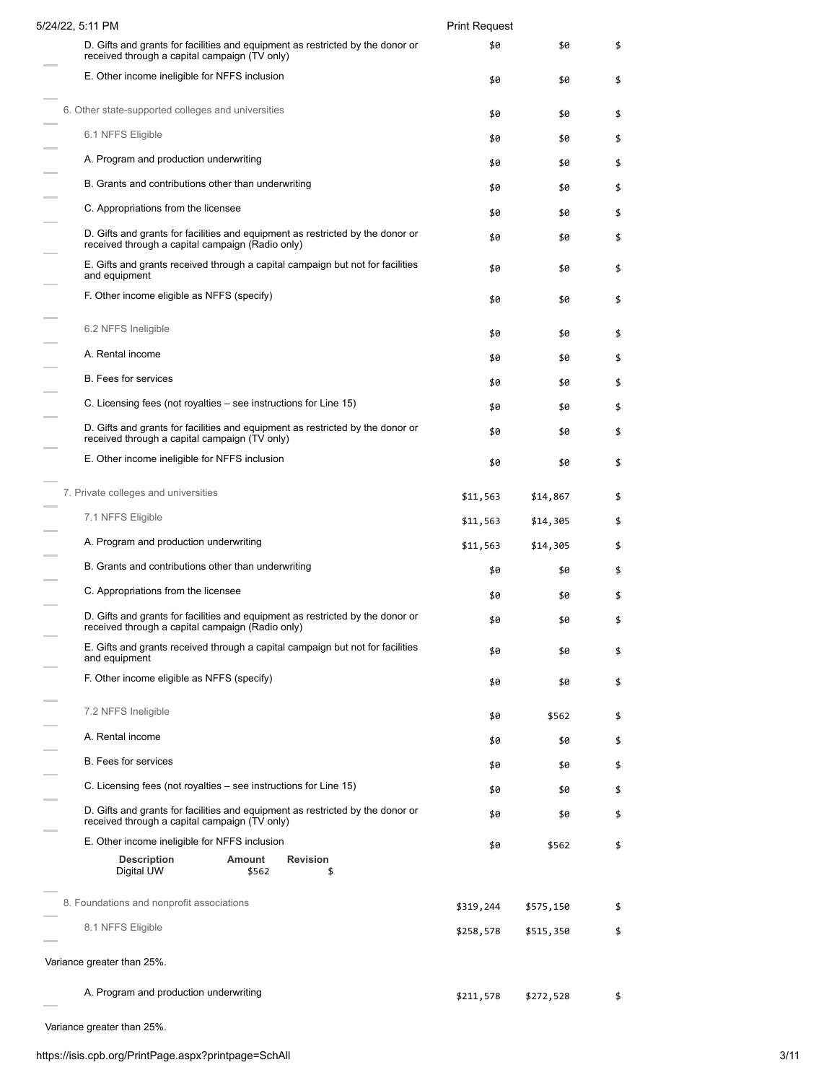| 5/24/22, 5:11 PM                                                                                                                   | <b>Print Request</b> |           |    |
|------------------------------------------------------------------------------------------------------------------------------------|----------------------|-----------|----|
| D. Gifts and grants for facilities and equipment as restricted by the donor or<br>received through a capital campaign (TV only)    | \$0                  | \$0       | \$ |
| E. Other income ineligible for NFFS inclusion                                                                                      | \$0                  | \$0       | \$ |
| 6. Other state-supported colleges and universities                                                                                 | \$0                  | \$0       | \$ |
| 6.1 NFFS Eligible                                                                                                                  | \$0                  | \$0       | \$ |
| A. Program and production underwriting                                                                                             | \$0                  | \$0       | \$ |
| B. Grants and contributions other than underwriting                                                                                | \$0                  | \$0       | \$ |
| C. Appropriations from the licensee                                                                                                | \$0                  | \$0       | \$ |
| D. Gifts and grants for facilities and equipment as restricted by the donor or<br>received through a capital campaign (Radio only) | \$0                  | \$0       | \$ |
| E. Gifts and grants received through a capital campaign but not for facilities<br>and equipment                                    | \$0                  | \$0       | \$ |
| F. Other income eligible as NFFS (specify)                                                                                         | \$0                  | \$0       | \$ |
| 6.2 NFFS Ineligible                                                                                                                | \$0                  | \$0       | \$ |
| A. Rental income                                                                                                                   | \$0                  | \$0       | \$ |
| <b>B.</b> Fees for services                                                                                                        | \$0                  | \$0       | \$ |
| C. Licensing fees (not royalties – see instructions for Line 15)                                                                   | \$0                  | \$0       | \$ |
| D. Gifts and grants for facilities and equipment as restricted by the donor or<br>received through a capital campaign (TV only)    | \$0                  | \$0       | \$ |
| E. Other income ineligible for NFFS inclusion                                                                                      | \$0                  | \$0       | \$ |
| 7. Private colleges and universities                                                                                               | \$11,563             | \$14,867  | \$ |
| 7.1 NFFS Eligible                                                                                                                  | \$11,563             | \$14,305  | \$ |
| A. Program and production underwriting                                                                                             | \$11,563             | \$14,305  | \$ |
| B. Grants and contributions other than underwriting                                                                                | \$0                  | \$0       | \$ |
| C. Appropriations from the licensee                                                                                                | \$0                  | \$0       | \$ |
| D. Gifts and grants for facilities and equipment as restricted by the donor or<br>received through a capital campaign (Radio only) | \$0                  | \$0       | \$ |
| E. Gifts and grants received through a capital campaign but not for facilities<br>and equipment                                    | \$0                  | \$0       | \$ |
| F. Other income eligible as NFFS (specify)                                                                                         | \$0                  | \$0       | \$ |
| 7.2 NFFS Ineligible                                                                                                                | \$0                  | \$562     | \$ |
| A. Rental income                                                                                                                   | \$0                  | \$0       | \$ |
| <b>B.</b> Fees for services                                                                                                        | \$0                  | \$0       | \$ |
| C. Licensing fees (not royalties – see instructions for Line 15)                                                                   | \$0                  | \$0       | \$ |
| D. Gifts and grants for facilities and equipment as restricted by the donor or<br>received through a capital campaign (TV only)    | \$0                  | \$0       | \$ |
| E. Other income ineligible for NFFS inclusion                                                                                      | \$0                  | \$562     | \$ |
| <b>Description</b><br>Amount<br><b>Revision</b><br>Digital UW<br>\$562<br>\$                                                       |                      |           |    |
| 8. Foundations and nonprofit associations                                                                                          | \$319,244            | \$575,150 | \$ |
| 8.1 NFFS Eligible                                                                                                                  | \$258,578            | \$515,350 | \$ |
| Variance greater than 25%.                                                                                                         |                      |           |    |
|                                                                                                                                    |                      |           |    |
| A. Program and production underwriting                                                                                             | \$211,578            | \$272,528 | \$ |

i. Variance greater than 25%.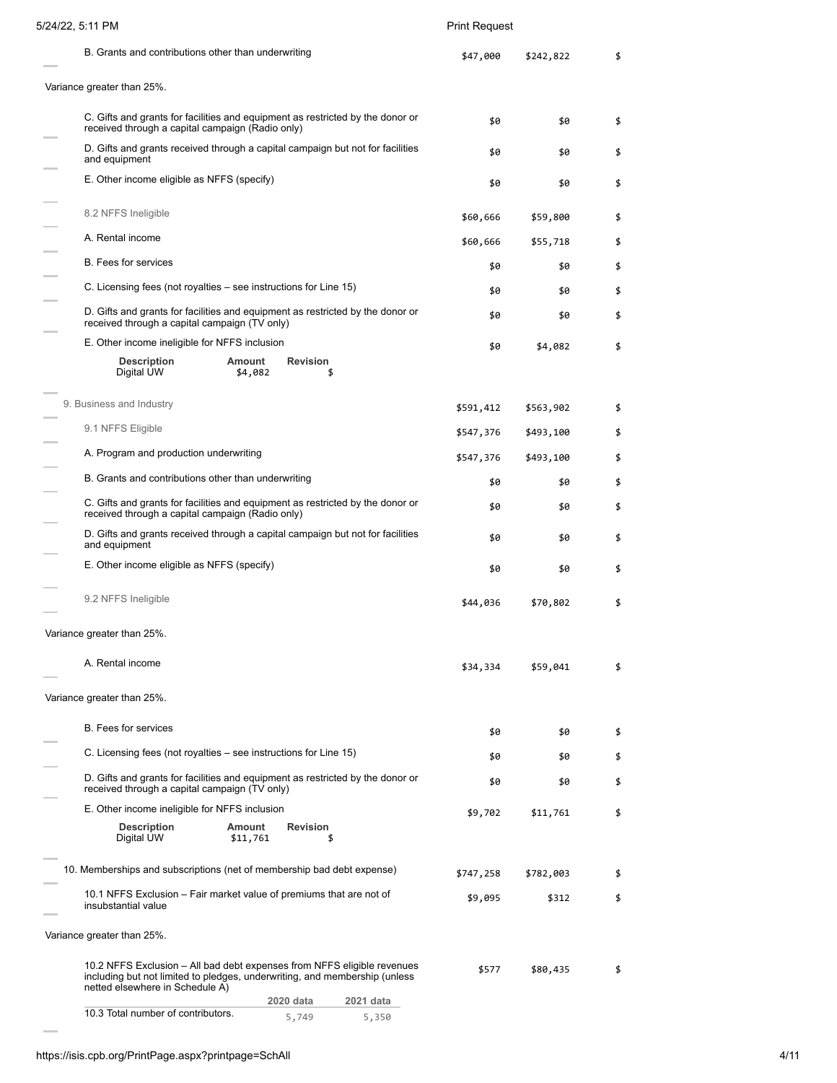| 5/24/22, 5:11 PM                                                                                                                                                                         | <b>Print Request</b> |           |    |
|------------------------------------------------------------------------------------------------------------------------------------------------------------------------------------------|----------------------|-----------|----|
| B. Grants and contributions other than underwriting                                                                                                                                      | \$47,000             | \$242,822 | \$ |
| Variance greater than 25%.                                                                                                                                                               |                      |           |    |
| C. Gifts and grants for facilities and equipment as restricted by the donor or<br>received through a capital campaign (Radio only)                                                       | \$0                  | \$0       | \$ |
| D. Gifts and grants received through a capital campaign but not for facilities<br>and equipment                                                                                          | \$0                  | \$0       | \$ |
| E. Other income eligible as NFFS (specify)                                                                                                                                               | \$0                  | \$0       | \$ |
| 8.2 NFFS Ineligible                                                                                                                                                                      | \$60,666             | \$59,800  | \$ |
| A. Rental income                                                                                                                                                                         | \$60,666             | \$55,718  | \$ |
| <b>B.</b> Fees for services                                                                                                                                                              | \$0                  | \$0       | \$ |
| C. Licensing fees (not royalties – see instructions for Line 15)                                                                                                                         | \$0                  | \$0       | \$ |
| D. Gifts and grants for facilities and equipment as restricted by the donor or<br>received through a capital campaign (TV only)                                                          | \$0                  | \$0       | \$ |
| E. Other income ineligible for NFFS inclusion                                                                                                                                            | \$0                  | \$4,082   | \$ |
| <b>Description</b><br><b>Revision</b><br>Amount<br>Digital UW<br>\$4,082<br>\$                                                                                                           |                      |           |    |
| 9. Business and Industry                                                                                                                                                                 | \$591,412            | \$563,902 | \$ |
| 9.1 NFFS Eligible                                                                                                                                                                        | \$547,376            | \$493,100 | \$ |
| A. Program and production underwriting                                                                                                                                                   | \$547,376            | \$493,100 | \$ |
| B. Grants and contributions other than underwriting                                                                                                                                      | \$0                  | \$0       | \$ |
| C. Gifts and grants for facilities and equipment as restricted by the donor or<br>received through a capital campaign (Radio only)                                                       | \$0                  | \$0       | \$ |
| D. Gifts and grants received through a capital campaign but not for facilities<br>and equipment                                                                                          | \$0                  | \$0       | \$ |
| E. Other income eligible as NFFS (specify)                                                                                                                                               | \$0                  | \$0       | \$ |
| 9.2 NFFS Ineligible                                                                                                                                                                      | \$44,036             | \$70,802  | \$ |
| Variance greater than 25%.                                                                                                                                                               |                      |           |    |
| A. Rental income                                                                                                                                                                         | \$34,334             | \$59,041  | \$ |
| Variance greater than 25%.                                                                                                                                                               |                      |           |    |
| <b>B.</b> Fees for services                                                                                                                                                              | \$0                  | \$0       | \$ |
| C. Licensing fees (not royalties – see instructions for Line 15)                                                                                                                         | \$0                  | \$0       | \$ |
| D. Gifts and grants for facilities and equipment as restricted by the donor or<br>received through a capital campaign (TV only)                                                          | \$0                  | \$0       | \$ |
| E. Other income ineligible for NFFS inclusion                                                                                                                                            | \$9,702              | \$11,761  | \$ |
| <b>Description</b><br>Amount<br>Revision<br>Digital UW<br>\$11,761<br>\$                                                                                                                 |                      |           |    |
| 10. Memberships and subscriptions (net of membership bad debt expense)                                                                                                                   | \$747,258            | \$782,003 | \$ |
| 10.1 NFFS Exclusion – Fair market value of premiums that are not of<br>insubstantial value                                                                                               | \$9,095              | \$312     | \$ |
| Variance greater than 25%.                                                                                                                                                               |                      |           |    |
| 10.2 NFFS Exclusion – All bad debt expenses from NFFS eligible revenues<br>including but not limited to pledges, underwriting, and membership (unless<br>netted elsewhere in Schedule A) | \$577                | \$80,435  | \$ |
| 2020 data<br>2021 data<br>10.3 Total number of contributors.                                                                                                                             |                      |           |    |
| 5,749<br>5,350                                                                                                                                                                           |                      |           |    |

÷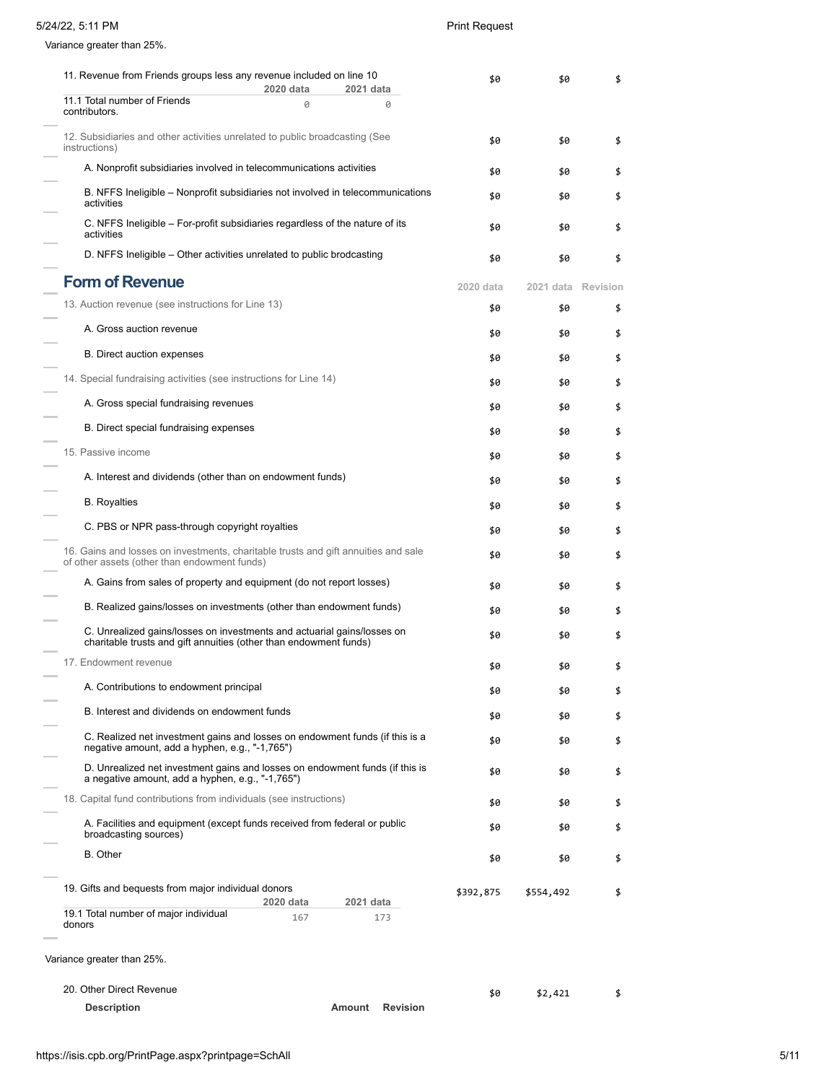## 5/24/22, 5:11 PM Print Request

Variance greater than 25%.

| 11. Revenue from Friends groups less any revenue included on line 10                                                                         | \$0             | \$0                | \$ |
|----------------------------------------------------------------------------------------------------------------------------------------------|-----------------|--------------------|----|
| 2020 data<br>2021 data<br>11.1 Total number of Friends<br>0                                                                                  | 0               |                    |    |
| contributors.                                                                                                                                |                 |                    |    |
| 12. Subsidiaries and other activities unrelated to public broadcasting (See<br>instructions)                                                 | \$0             | \$0                | \$ |
| A. Nonprofit subsidiaries involved in telecommunications activities                                                                          | \$0             | \$0                | \$ |
| B. NFFS Ineligible – Nonprofit subsidiaries not involved in telecommunications<br>activities                                                 | \$0             | \$0                |    |
| C. NFFS Ineligible – For-profit subsidiaries regardless of the nature of its<br>activities                                                   | \$0             | \$0                | \$ |
| D. NFFS Ineligible – Other activities unrelated to public brodcasting                                                                        | \$0             | \$0                | \$ |
| <b>Form of Revenue</b>                                                                                                                       | 2020 data       | 2021 data Revision |    |
| 13. Auction revenue (see instructions for Line 13)                                                                                           | \$0             | \$0                | \$ |
| A. Gross auction revenue                                                                                                                     | \$0             | \$0                | \$ |
| <b>B.</b> Direct auction expenses                                                                                                            | \$0             | \$0                | \$ |
| 14. Special fundraising activities (see instructions for Line 14)                                                                            | \$0             | \$0                |    |
| A. Gross special fundraising revenues                                                                                                        | \$0             | \$0                | \$ |
| B. Direct special fundraising expenses                                                                                                       | \$0             | \$0                | \$ |
| 15. Passive income                                                                                                                           | \$0             | \$0                | \$ |
| A. Interest and dividends (other than on endowment funds)                                                                                    | \$0             | \$0                | \$ |
| <b>B.</b> Royalties                                                                                                                          | \$0             | \$0                | \$ |
| C. PBS or NPR pass-through copyright royalties                                                                                               |                 |                    |    |
| 16. Gains and losses on investments, charitable trusts and gift annuities and sale<br>of other assets (other than endowment funds)           | \$0<br>\$0      | \$0<br>\$0         | \$ |
| A. Gains from sales of property and equipment (do not report losses)                                                                         | \$0             | \$0                | \$ |
| B. Realized gains/losses on investments (other than endowment funds)                                                                         | \$0             | \$0                | \$ |
| C. Unrealized gains/losses on investments and actuarial gains/losses on<br>charitable trusts and gift annuities (other than endowment funds) | \$0             | \$0                |    |
| 17. Endowment revenue                                                                                                                        | \$0             | \$0                |    |
| A. Contributions to endowment principal                                                                                                      |                 |                    | \$ |
| B. Interest and dividends on endowment funds                                                                                                 | \$0             | \$0                | \$ |
|                                                                                                                                              | \$0             | \$0                | \$ |
| C. Realized net investment gains and losses on endowment funds (if this is a<br>negative amount, add a hyphen, e.g., "-1,765")               | \$0             | \$0                | \$ |
| D. Unrealized net investment gains and losses on endowment funds (if this is<br>a negative amount, add a hyphen, e.g., "-1,765")             | \$0             | \$0                | \$ |
| 18. Capital fund contributions from individuals (see instructions)                                                                           | \$0             | \$0                | \$ |
| A. Facilities and equipment (except funds received from federal or public<br>broadcasting sources)                                           | \$0             | \$0                | \$ |
| <b>B.</b> Other                                                                                                                              | \$0             | \$0                | \$ |
| 19. Gifts and bequests from major individual donors                                                                                          | \$392,875       | \$554,492          | \$ |
| 2020 data<br>2021 data<br>19.1 Total number of major individual<br>167<br>173<br>donors                                                      |                 |                    |    |
|                                                                                                                                              |                 |                    |    |
| Variance greater than 25%.                                                                                                                   |                 |                    |    |
| 20. Other Direct Revenue                                                                                                                     | \$0             | \$2,421            | \$ |
| <b>Description</b><br>Amount                                                                                                                 | <b>Revision</b> |                    |    |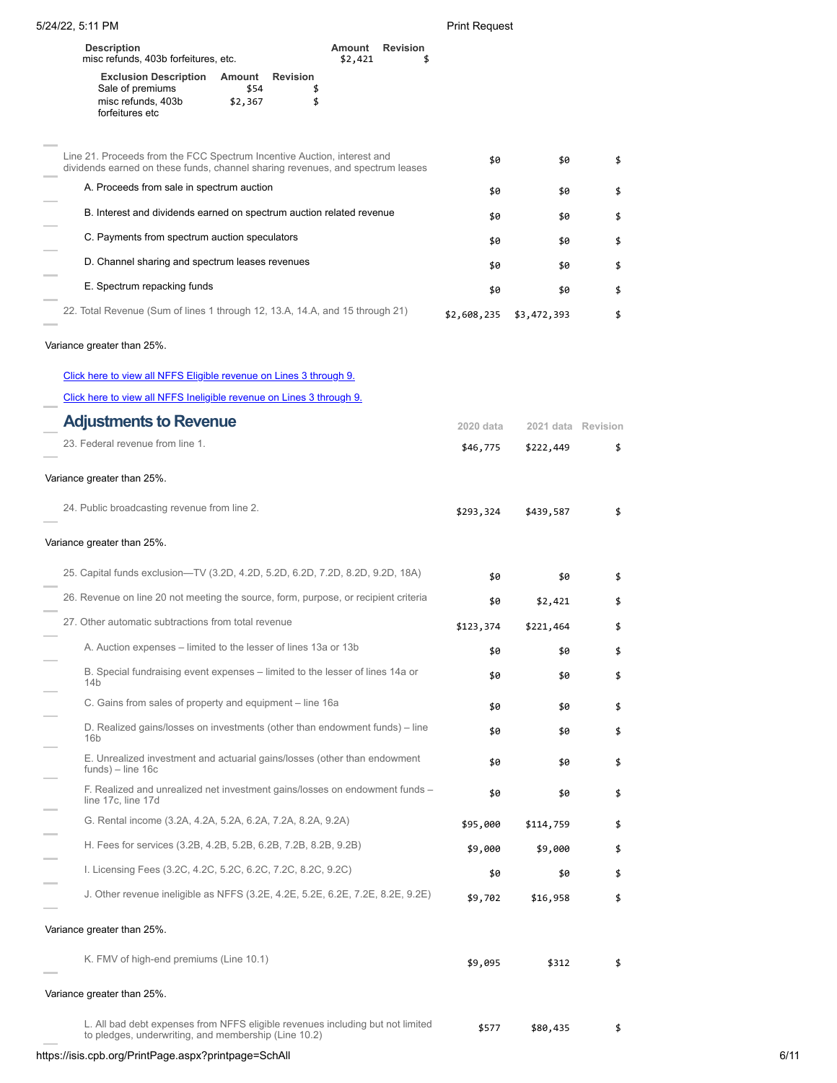5/24/22, 5:11 PM Print Request

| <b>Description</b><br>misc refunds, 403b forfeitures, etc. |                |                 | Amount<br>\$2,421 | <b>Revision</b> |
|------------------------------------------------------------|----------------|-----------------|-------------------|-----------------|
| <b>Exclusion Description</b><br>Sale of premiums           | Amount<br>\$54 | <b>Revision</b> |                   |                 |
| misc refunds, 403b<br>forfeitures etc                      | \$2,367        |                 |                   |                 |

| Line 21. Proceeds from the FCC Spectrum Incentive Auction, interest and<br>dividends earned on these funds, channel sharing revenues, and spectrum leases | \$0         | \$0         |    |
|-----------------------------------------------------------------------------------------------------------------------------------------------------------|-------------|-------------|----|
| A. Proceeds from sale in spectrum auction                                                                                                                 | \$0         | \$0         | \$ |
| B. Interest and dividends earned on spectrum auction related revenue                                                                                      | \$0         | \$0         | \$ |
| C. Payments from spectrum auction speculators                                                                                                             | \$0         | \$0         |    |
| D. Channel sharing and spectrum leases revenues                                                                                                           | \$0         | \$0         | \$ |
| E. Spectrum repacking funds                                                                                                                               | \$0         | \$0         |    |
| 22. Total Revenue (Sum of lines 1 through 12, 13.A, 14.A, and 15 through 21)                                                                              | \$2,608,235 | \$3,472,393 |    |
|                                                                                                                                                           |             |             |    |

## Variance greater than 25%.

| Click here to view all NFFS Eligible revenue on Lines 3 through 9.                                                                     |           |                    |    |
|----------------------------------------------------------------------------------------------------------------------------------------|-----------|--------------------|----|
| Click here to view all NFFS Ineligible revenue on Lines 3 through 9.                                                                   |           |                    |    |
| <b>Adjustments to Revenue</b>                                                                                                          | 2020 data | 2021 data Revision |    |
| 23. Federal revenue from line 1.                                                                                                       | \$46,775  | \$222,449          | \$ |
| Variance greater than 25%.                                                                                                             |           |                    |    |
| 24. Public broadcasting revenue from line 2.                                                                                           | \$293,324 | \$439,587          | \$ |
| Variance greater than 25%.                                                                                                             |           |                    |    |
| 25. Capital funds exclusion—TV (3.2D, 4.2D, 5.2D, 6.2D, 7.2D, 8.2D, 9.2D, 18A)                                                         | \$0       | \$0                | \$ |
| 26. Revenue on line 20 not meeting the source, form, purpose, or recipient criteria                                                    | \$0       | \$2,421            | \$ |
| 27. Other automatic subtractions from total revenue                                                                                    | \$123,374 | \$221,464          | \$ |
| A. Auction expenses – limited to the lesser of lines 13a or 13b                                                                        | \$0       | \$0                | \$ |
| B. Special fundraising event expenses – limited to the lesser of lines 14a or<br>14 <sub>b</sub>                                       | \$0       | \$0                | \$ |
| C. Gains from sales of property and equipment - line 16a                                                                               | \$0       | \$0                | \$ |
| D. Realized gains/losses on investments (other than endowment funds) – line<br>16 <sub>b</sub>                                         | \$0       | \$0                | \$ |
| E. Unrealized investment and actuarial gains/losses (other than endowment<br>$funds$ ) – line 16c                                      | \$0       | \$0                | \$ |
| F. Realized and unrealized net investment gains/losses on endowment funds –<br>line 17c, line 17d                                      | \$0       | \$0                | \$ |
| G. Rental income (3.2A, 4.2A, 5.2A, 6.2A, 7.2A, 8.2A, 9.2A)                                                                            | \$95,000  | \$114,759          | \$ |
| H. Fees for services (3.2B, 4.2B, 5.2B, 6.2B, 7.2B, 8.2B, 9.2B)                                                                        | \$9,000   | \$9,000            | \$ |
| I. Licensing Fees (3.2C, 4.2C, 5.2C, 6.2C, 7.2C, 8.2C, 9.2C)                                                                           | \$0       | \$0                | \$ |
| J. Other revenue ineligible as NFFS $(3.2E, 4.2E, 5.2E, 6.2E, 7.2E, 8.2E, 9.2E)$                                                       | \$9,702   | \$16,958           | \$ |
| Variance greater than 25%.                                                                                                             |           |                    |    |
| K. FMV of high-end premiums (Line 10.1)                                                                                                | \$9,095   | \$312              | \$ |
| Variance greater than 25%.                                                                                                             |           |                    |    |
| L. All bad debt expenses from NFFS eligible revenues including but not limited<br>to pledges, underwriting, and membership (Line 10.2) | \$577     | \$80,435           | \$ |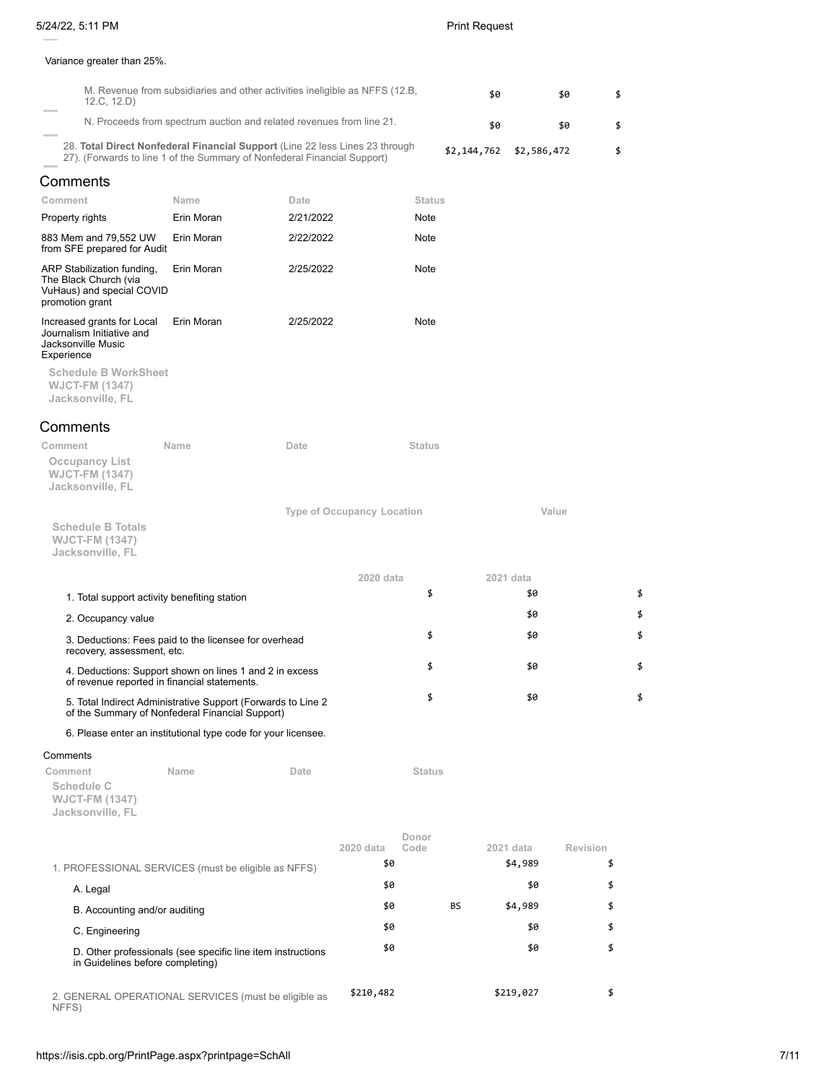### Variance greater than 25%.

| 12.C, 12.D)                                                                                                                                              | M. Revenue from subsidiaries and other activities ineligible as NFFS (12.B, |           |                                   |               | \$0         |             | \$0      | \$ |
|----------------------------------------------------------------------------------------------------------------------------------------------------------|-----------------------------------------------------------------------------|-----------|-----------------------------------|---------------|-------------|-------------|----------|----|
|                                                                                                                                                          | N. Proceeds from spectrum auction and related revenues from line 21.        |           |                                   |               | \$0         |             | \$0      | \$ |
| 28. Total Direct Nonfederal Financial Support (Line 22 less Lines 23 through<br>27). (Forwards to line 1 of the Summary of Nonfederal Financial Support) |                                                                             |           |                                   |               | \$2,144,762 | \$2,586,472 |          | \$ |
| Comments                                                                                                                                                 |                                                                             |           |                                   |               |             |             |          |    |
| Comment                                                                                                                                                  | Name                                                                        | Date      |                                   | <b>Status</b> |             |             |          |    |
| Property rights                                                                                                                                          | Erin Moran                                                                  | 2/21/2022 |                                   | Note          |             |             |          |    |
| 883 Mem and 79,552 UW<br>from SFE prepared for Audit                                                                                                     | Erin Moran                                                                  | 2/22/2022 |                                   | Note          |             |             |          |    |
| ARP Stabilization funding,<br>The Black Church (via<br>VuHaus) and special COVID<br>promotion grant                                                      | Erin Moran                                                                  | 2/25/2022 |                                   | Note          |             |             |          |    |
| Increased grants for Local<br>Journalism Initiative and<br>Jacksonville Music<br>Experience                                                              | Erin Moran                                                                  | 2/25/2022 |                                   | Note          |             |             |          |    |
| <b>Schedule B WorkSheet</b><br><b>WJCT-FM (1347)</b><br>Jacksonville, FL                                                                                 |                                                                             |           |                                   |               |             |             |          |    |
| Comments                                                                                                                                                 |                                                                             |           |                                   |               |             |             |          |    |
| Comment<br><b>Occupancy List</b><br><b>WJCT-FM (1347)</b><br>Jacksonville, FL                                                                            | Name                                                                        | Date      |                                   | <b>Status</b> |             |             |          |    |
|                                                                                                                                                          |                                                                             |           | <b>Type of Occupancy Location</b> |               |             |             | Value    |    |
| <b>Schedule B Totals</b><br><b>WJCT-FM (1347)</b><br>Jacksonville, FL                                                                                    |                                                                             |           |                                   |               |             |             |          |    |
|                                                                                                                                                          |                                                                             |           | 2020 data                         |               |             | 2021 data   |          |    |
| 1. Total support activity benefiting station                                                                                                             |                                                                             |           |                                   | \$            |             | \$0         |          | \$ |
| 2. Occupancy value                                                                                                                                       |                                                                             |           |                                   |               |             | \$0         |          | \$ |
| 3. Deductions: Fees paid to the licensee for overhead<br>recovery, assessment, etc.                                                                      |                                                                             |           |                                   | \$            |             | \$0         |          | \$ |
| 4. Deductions: Support shown on lines 1 and 2 in excess<br>of revenue reported in financial statements.                                                  |                                                                             |           |                                   | \$            |             | \$0         |          | \$ |
| 5. Total Indirect Administrative Support (Forwards to Line 2<br>of the Summary of Nonfederal Financial Support)                                          |                                                                             |           |                                   | \$            |             | \$0         |          | \$ |
| 6. Please enter an institutional type code for your licensee.                                                                                            |                                                                             |           |                                   |               |             |             |          |    |
| Comments<br>Comment<br>Schedule C                                                                                                                        | Name                                                                        | Date      |                                   | <b>Status</b> |             |             |          |    |
| <b>WJCT-FM (1347)</b><br>Jacksonville, FL                                                                                                                |                                                                             |           |                                   |               |             |             |          |    |
|                                                                                                                                                          |                                                                             |           | 2020 data                         | Donor<br>Code |             | 2021 data   | Revision |    |
| 1. PROFESSIONAL SERVICES (must be eligible as NFFS)                                                                                                      |                                                                             |           | \$0                               |               |             | \$4,989     | \$       |    |
| A. Legal                                                                                                                                                 |                                                                             |           | \$0                               |               |             | \$0         | \$       |    |
| B. Accounting and/or auditing                                                                                                                            |                                                                             |           | \$0                               |               | BS          | \$4,989     | \$       |    |
| C. Engineering                                                                                                                                           |                                                                             |           | \$0                               |               |             | \$0         | \$       |    |
| D. Other professionals (see specific line item instructions                                                                                              |                                                                             |           | \$0                               |               |             | \$0         | \$       |    |
| in Guidelines before completing)                                                                                                                         |                                                                             |           |                                   |               |             |             |          |    |

2. GENERAL OPERATIONAL SERVICES (must be eligible as NFFS) \$210,482 \$219,027 \$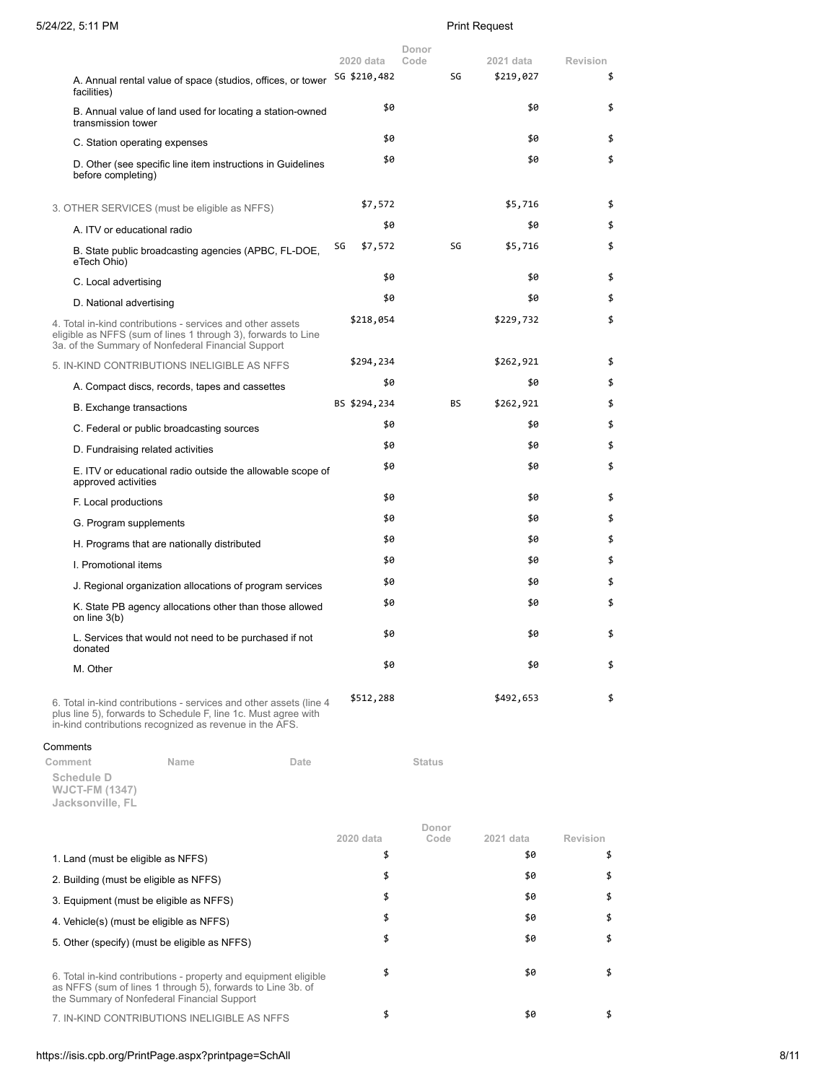|                                                                                                                                                                                   |    | 2020 data    | Donor<br>Code |           | 2021 data | Revision |
|-----------------------------------------------------------------------------------------------------------------------------------------------------------------------------------|----|--------------|---------------|-----------|-----------|----------|
| A. Annual rental value of space (studios, offices, or tower                                                                                                                       |    | SG \$210,482 |               | SG        | \$219,027 | \$       |
| facilities)                                                                                                                                                                       |    | \$0          |               |           | \$0       | \$       |
| B. Annual value of land used for locating a station-owned<br>transmission tower                                                                                                   |    |              |               |           |           |          |
| C. Station operating expenses                                                                                                                                                     |    | \$0          |               |           | \$0       | \$       |
| D. Other (see specific line item instructions in Guidelines<br>before completing)                                                                                                 |    | \$0          |               |           | \$0       | \$       |
| 3. OTHER SERVICES (must be eligible as NFFS)                                                                                                                                      |    | \$7,572      |               |           | \$5,716   | \$       |
| A. ITV or educational radio                                                                                                                                                       |    | \$0          |               |           | \$0       | \$       |
| B. State public broadcasting agencies (APBC, FL-DOE,<br>eTech Ohio)                                                                                                               | SG | \$7,572      |               | SG        | \$5,716   | \$       |
| C. Local advertising                                                                                                                                                              |    | \$0          |               |           | \$0       | \$       |
| D. National advertising                                                                                                                                                           |    | \$0          |               |           | \$0       | \$       |
| 4. Total in-kind contributions - services and other assets<br>eligible as NFFS (sum of lines 1 through 3), forwards to Line<br>3a. of the Summary of Nonfederal Financial Support |    | \$218,054    |               |           | \$229,732 | \$       |
| 5. IN-KIND CONTRIBUTIONS INELIGIBLE AS NFFS                                                                                                                                       |    | \$294,234    |               |           | \$262,921 | \$       |
| A. Compact discs, records, tapes and cassettes                                                                                                                                    |    | \$0          |               |           | \$0       | \$       |
| <b>B.</b> Exchange transactions                                                                                                                                                   |    | BS \$294,234 |               | <b>BS</b> | \$262,921 | \$       |
| C. Federal or public broadcasting sources                                                                                                                                         |    | \$0          |               |           | \$0       | \$       |
| D. Fundraising related activities                                                                                                                                                 |    | \$0          |               |           | \$0       | \$       |
| E. ITV or educational radio outside the allowable scope of<br>approved activities                                                                                                 |    | \$0          |               |           | \$0       | \$       |
| F. Local productions                                                                                                                                                              |    | \$0          |               |           | \$0       | \$       |
| G. Program supplements                                                                                                                                                            |    | \$0          |               |           | \$0       | \$       |
| H. Programs that are nationally distributed                                                                                                                                       |    | \$0          |               |           | \$0       | \$       |
| I. Promotional items                                                                                                                                                              |    | \$0          |               |           | \$0       | \$       |
| J. Regional organization allocations of program services                                                                                                                          |    | \$0          |               |           | \$0       | \$       |
| K. State PB agency allocations other than those allowed<br>on line 3(b)                                                                                                           |    | \$0          |               |           | \$0       | \$       |
| L. Services that would not need to be purchased if not<br>donated                                                                                                                 |    | \$0          |               |           | \$0       | \$       |
| M. Other                                                                                                                                                                          |    | \$0          |               |           | \$0       | \$       |
| 6. Total in-kind contributions - services and other assets (line 4<br>plus line 5), forwards to Schedule F, line 1c. Must agree with                                              |    | \$512,288    |               |           | \$492,653 | \$       |

in-kind contributions recognized as revenue in the AFS.

### Comments

**Comment Name Date Date Status Schedule D WJCT-FM (1347)**

| Jacksonville, FL |  |
|------------------|--|
|                  |  |

|                                                                                                                                                                                | 2020 data | Donor<br>Code | 2021 data | Revision |
|--------------------------------------------------------------------------------------------------------------------------------------------------------------------------------|-----------|---------------|-----------|----------|
| 1. Land (must be eligible as NFFS)                                                                                                                                             | \$        |               | \$0       |          |
| 2. Building (must be eligible as NFFS)                                                                                                                                         | \$        |               | \$0       |          |
| 3. Equipment (must be eligible as NFFS)                                                                                                                                        | \$        |               | \$0       |          |
| 4. Vehicle(s) (must be eligible as NFFS)                                                                                                                                       | \$        |               | \$0       |          |
| 5. Other (specify) (must be eligible as NFFS)                                                                                                                                  | \$        |               | \$0       |          |
| 6. Total in-kind contributions - property and equipment eligible<br>as NFFS (sum of lines 1 through 5), forwards to Line 3b. of<br>the Summary of Nonfederal Financial Support | \$        |               | \$0       |          |
| 7. IN-KIND CONTRIBUTIONS INELIGIBLE AS NFFS                                                                                                                                    | \$        |               | \$0       |          |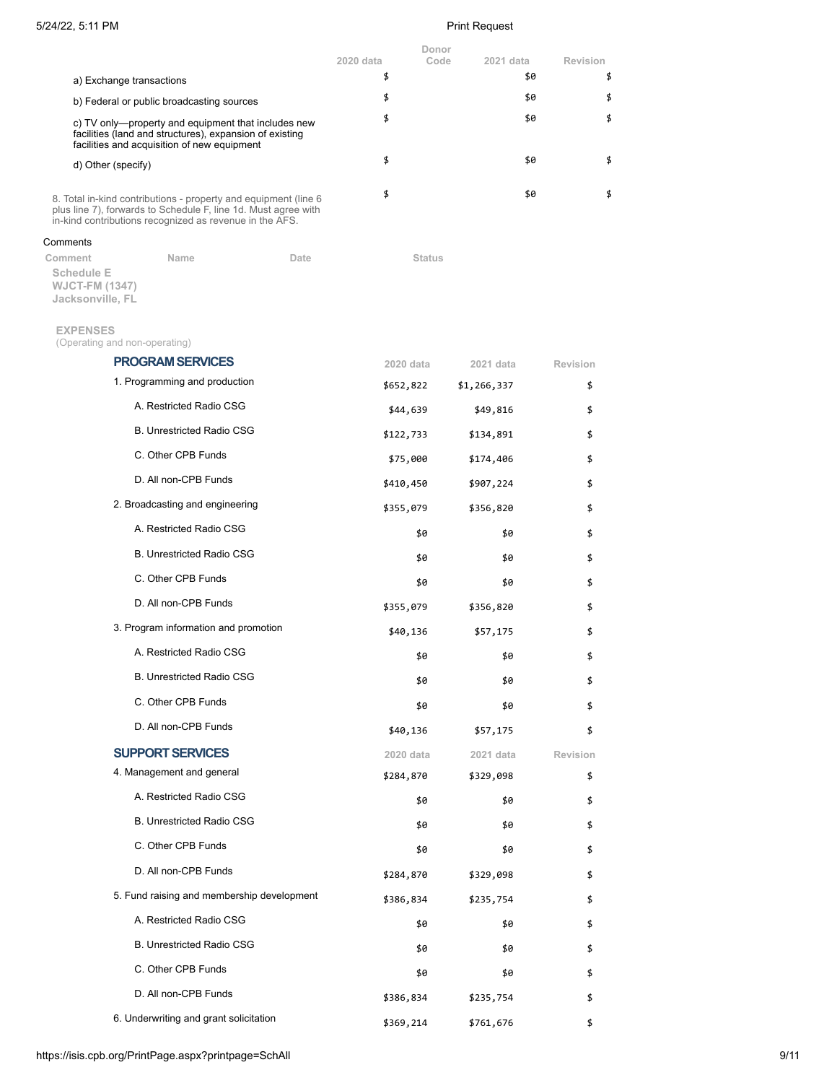| 5/24/22, 5:11 PM                                                                                                                                                                              | <b>Print Request</b> |                            |                 |  |
|-----------------------------------------------------------------------------------------------------------------------------------------------------------------------------------------------|----------------------|----------------------------|-----------------|--|
|                                                                                                                                                                                               | 2020 data            | Donor<br>Code<br>2021 data | <b>Revision</b> |  |
| a) Exchange transactions                                                                                                                                                                      | \$                   | \$0                        | \$              |  |
| b) Federal or public broadcasting sources                                                                                                                                                     | \$                   | \$0                        | \$              |  |
| c) TV only—property and equipment that includes new<br>facilities (land and structures), expansion of existing<br>facilities and acquisition of new equipment                                 | \$                   | \$0                        | \$              |  |
| d) Other (specify)                                                                                                                                                                            | \$                   | \$0                        | \$              |  |
| 8. Total in-kind contributions - property and equipment (line 6)<br>plus line 7), forwards to Schedule F, line 1d. Must agree with<br>in-kind contributions recognized as revenue in the AFS. | \$                   | \$0                        | \$              |  |
| Comments                                                                                                                                                                                      |                      |                            |                 |  |
| Comment<br>Name<br>Date<br><b>Schedule E</b><br><b>WJCT-FM (1347)</b><br>Jacksonville, FL                                                                                                     | <b>Status</b>        |                            |                 |  |
| <b>EXPENSES</b><br>(Operating and non-operating)                                                                                                                                              |                      |                            |                 |  |
| <b>PROGRAM SERVICES</b>                                                                                                                                                                       | 2020 data            | 2021 data                  | Revision        |  |
| 1. Programming and production                                                                                                                                                                 | \$652,822            | \$1,266,337                | \$              |  |
| A. Restricted Radio CSG                                                                                                                                                                       | \$44,639             | \$49,816                   | \$              |  |
| <b>B. Unrestricted Radio CSG</b>                                                                                                                                                              | \$122,733            | \$134,891                  | \$              |  |
| C. Other CPB Funds                                                                                                                                                                            | \$75,000             | \$174,406                  | \$              |  |
| D. All non-CPB Funds                                                                                                                                                                          | \$410,450            | \$907,224                  | \$              |  |
| 2. Broadcasting and engineering                                                                                                                                                               | \$355,079            | \$356,820                  | \$              |  |
| A. Restricted Radio CSG                                                                                                                                                                       | \$0                  | \$0                        | \$              |  |
| <b>B. Unrestricted Radio CSG</b>                                                                                                                                                              | \$0                  | \$0                        | \$              |  |
| C. Other CPB Funds                                                                                                                                                                            | \$0                  | \$0                        | \$              |  |
| D. All non-CPB Funds                                                                                                                                                                          | \$355,079            | \$356,820                  | \$              |  |
| 3. Program information and promotion                                                                                                                                                          | \$40,136             | \$57,175                   | \$              |  |
| A. Restricted Radio CSG                                                                                                                                                                       | \$0                  | \$0                        | \$              |  |
| <b>B. Unrestricted Radio CSG</b>                                                                                                                                                              | \$0                  | \$0                        | \$              |  |
| C. Other CPB Funds                                                                                                                                                                            | \$0                  | \$0                        | \$              |  |
| D. All non-CPB Funds                                                                                                                                                                          | \$40,136             | \$57,175                   | \$              |  |
| <b>SUPPORT SERVICES</b>                                                                                                                                                                       | 2020 data            | 2021 data                  | Revision        |  |
| 4. Management and general                                                                                                                                                                     | \$284,870            | \$329,098                  | \$              |  |
| A. Restricted Radio CSG                                                                                                                                                                       | \$0                  | \$0                        | \$              |  |
| <b>B. Unrestricted Radio CSG</b>                                                                                                                                                              | \$0                  | \$0                        | \$              |  |
| C. Other CPB Funds                                                                                                                                                                            | \$0                  | \$0                        | \$              |  |
| D. All non-CPB Funds                                                                                                                                                                          | \$284,870            | \$329,098                  | \$              |  |
| 5. Fund raising and membership development                                                                                                                                                    | \$386,834            | \$235,754                  | \$              |  |
| A. Restricted Radio CSG                                                                                                                                                                       | \$0                  | \$0                        | \$              |  |
| <b>B. Unrestricted Radio CSG</b>                                                                                                                                                              | \$0                  | \$0                        | \$              |  |
| C. Other CPB Funds                                                                                                                                                                            | \$0                  | \$0                        | \$              |  |
| D. All non-CPB Funds                                                                                                                                                                          | \$386,834            | \$235,754                  | \$              |  |

6. Underwriting and grant solicitation <br>
\$369,214 \$761,676 \$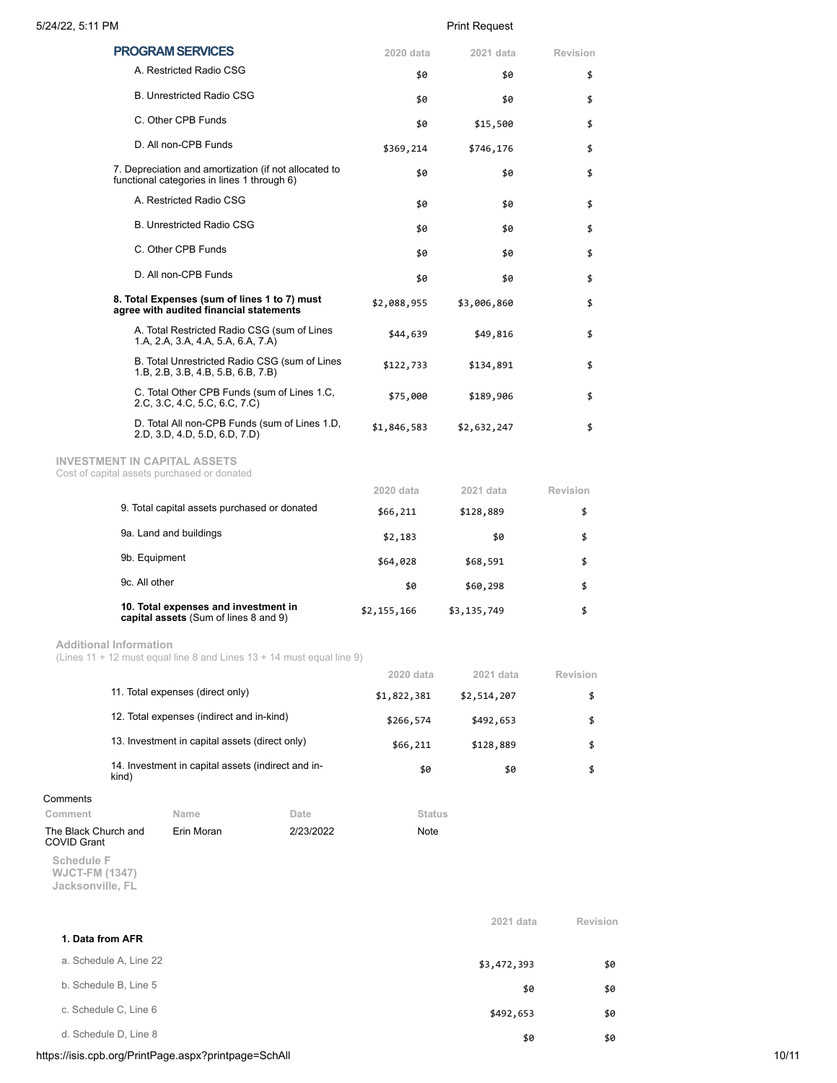| 5/24/22, 5:11 PM                                            |                                           |                                                                                                      | <b>Print Request</b> |             |             |                 |
|-------------------------------------------------------------|-------------------------------------------|------------------------------------------------------------------------------------------------------|----------------------|-------------|-------------|-----------------|
|                                                             |                                           | <b>PROGRAM SERVICES</b>                                                                              |                      | 2020 data   | 2021 data   | Revision        |
|                                                             |                                           | A. Restricted Radio CSG                                                                              |                      | \$0         | \$0         | \$              |
|                                                             |                                           | <b>B. Unrestricted Radio CSG</b>                                                                     |                      | \$0         | \$0         | \$              |
|                                                             |                                           | C. Other CPB Funds                                                                                   |                      | \$0         | \$15,500    | \$              |
|                                                             |                                           | D. All non-CPB Funds                                                                                 |                      | \$369,214   | \$746,176   | \$              |
|                                                             |                                           | 7. Depreciation and amortization (if not allocated to<br>functional categories in lines 1 through 6) |                      | \$0         | \$0         | \$              |
|                                                             |                                           | A. Restricted Radio CSG                                                                              |                      | \$0         | \$0         | \$              |
|                                                             |                                           | <b>B. Unrestricted Radio CSG</b>                                                                     |                      | \$0         | \$0         | \$              |
|                                                             |                                           | C. Other CPB Funds                                                                                   |                      | \$0         | \$0         | \$              |
|                                                             |                                           | D. All non-CPB Funds                                                                                 |                      | \$0         | \$0         | \$              |
|                                                             |                                           | 8. Total Expenses (sum of lines 1 to 7) must<br>agree with audited financial statements              |                      | \$2,088,955 | \$3,006,860 | \$              |
|                                                             |                                           | A. Total Restricted Radio CSG (sum of Lines<br>1.A, 2.A, 3.A, 4.A, 5.A, 6.A, 7.A)                    |                      | \$44,639    | \$49,816    | \$              |
|                                                             |                                           | B. Total Unrestricted Radio CSG (sum of Lines<br>1.B, 2.B, 3.B, 4.B, 5.B, 6.B, 7.B)                  |                      | \$122,733   | \$134,891   | \$              |
|                                                             |                                           | C. Total Other CPB Funds (sum of Lines 1.C,<br>2.C, 3.C, 4.C, 5.C, 6.C, 7.C)                         |                      | \$75,000    | \$189,906   | \$              |
|                                                             |                                           | D. Total All non-CPB Funds (sum of Lines 1.D,<br>2.D, 3.D, 4.D, 5.D, 6.D, 7.D)                       |                      | \$1,846,583 | \$2,632,247 | \$              |
|                                                             |                                           | <b>INVESTMENT IN CAPITAL ASSETS</b>                                                                  |                      |             |             |                 |
|                                                             |                                           | Cost of capital assets purchased or donated                                                          |                      | 2020 data   | 2021 data   | Revision        |
|                                                             |                                           | 9. Total capital assets purchased or donated                                                         |                      | \$66,211    | \$128,889   | \$              |
|                                                             |                                           | 9a. Land and buildings                                                                               |                      | \$2,183     | \$0         | \$              |
|                                                             | 9b. Equipment                             |                                                                                                      |                      | \$64,028    | \$68,591    | \$              |
|                                                             | 9c. All other                             |                                                                                                      |                      | \$0         | \$60,298    | \$              |
|                                                             |                                           | 10. Total expenses and investment in<br>capital assets (Sum of lines 8 and 9)                        |                      | \$2,155,166 | \$3,135,749 | \$              |
| <b>Additional Information</b>                               |                                           | (Lines 11 + 12 must equal line 8 and Lines $13 + 14$ must equal line 9)                              |                      |             |             |                 |
|                                                             |                                           |                                                                                                      |                      | 2020 data   | 2021 data   | <b>Revision</b> |
|                                                             |                                           | 11. Total expenses (direct only)                                                                     |                      | \$1,822,381 | \$2,514,207 | \$              |
|                                                             | 12. Total expenses (indirect and in-kind) |                                                                                                      |                      | \$266,574   | \$492,653   | \$              |
| 13. Investment in capital assets (direct only)              |                                           |                                                                                                      | \$66,211             | \$128,889   | \$          |                 |
| 14. Investment in capital assets (indirect and in-<br>kind) |                                           | \$0                                                                                                  | \$0                  | \$          |             |                 |
| Comments                                                    |                                           |                                                                                                      |                      |             |             |                 |
| Comment                                                     |                                           | Name                                                                                                 | Date                 | Status      |             |                 |
| The Black Church and<br>COVID Grant                         |                                           | Erin Moran                                                                                           | 2/23/2022            | Note        |             |                 |

**Schedule F WJCT-FM (1347) Jacksonville, FL**

|                        | 2021 data   | Revision |
|------------------------|-------------|----------|
| 1. Data from AFR       |             |          |
| a. Schedule A, Line 22 | \$3,472,393 | \$0      |
| b. Schedule B, Line 5  | \$0         | \$0      |
| c. Schedule C, Line 6  | \$492,653   | \$0      |
| d. Schedule D, Line 8  | \$0         | \$0      |

https://isis.cpb.org/PrintPage.aspx?printpage=SchAll 10/11